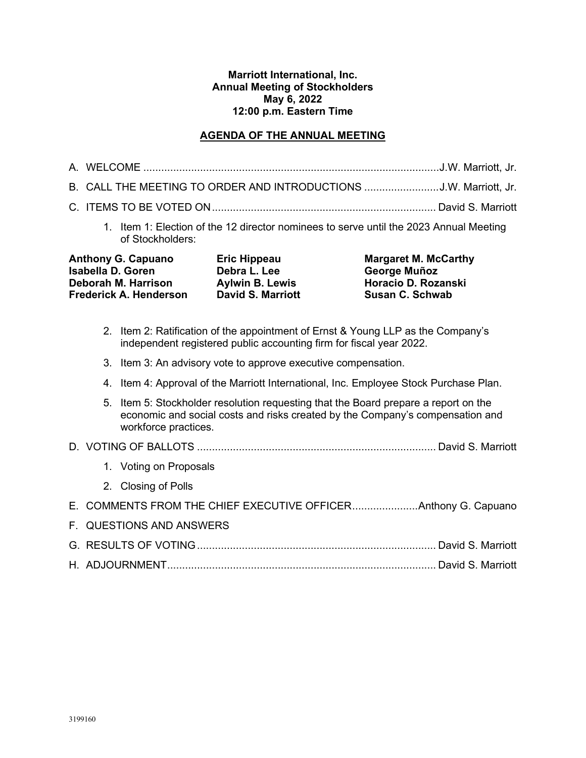#### **Marriott International, Inc. Annual Meeting of Stockholders May 6, 2022 12:00 p.m. Eastern Time**

## **AGENDA OF THE ANNUAL MEETING**

|  | . |
|--|---|

- B. CALL THE MEETING TO ORDER AND INTRODUCTIONS .........................J.W. Marriott, Jr.
- C. ITEMS TO BE VOTED ON........................................................................... David S. Marriott
	- 1. Item 1: Election of the 12 director nominees to serve until the 2023 Annual Meeting of Stockholders:

| <b>Anthony G. Capuano</b>     | Eric Hippeau           | <b>Margaret M. McCarthy</b> |
|-------------------------------|------------------------|-----------------------------|
| <b>Isabella D. Goren</b>      | Debra L. Lee           | George Muñoz                |
| Deborah M. Harrison           | <b>Aylwin B. Lewis</b> | Horacio D. Rozanski         |
| <b>Frederick A. Henderson</b> | David S. Marriott      | Susan C. Schwab             |

- 2. Item 2: Ratification of the appointment of Ernst & Young LLP as the Company's independent registered public accounting firm for fiscal year 2022.
- 3. Item 3: An advisory vote to approve executive compensation.
- 4. Item 4: Approval of the Marriott International, Inc. Employee Stock Purchase Plan.
- 5. Item 5: Stockholder resolution requesting that the Board prepare a report on the economic and social costs and risks created by the Company's compensation and workforce practices.

### D. VOTING OF BALLOTS ................................................................................ David S. Marriott

- 1. Voting on Proposals
- 2. Closing of Polls

| E. COMMENTS FROM THE CHIEF EXECUTIVE OFFICERAnthony G. Capuano |  |
|----------------------------------------------------------------|--|
| F. QUESTIONS AND ANSWERS                                       |  |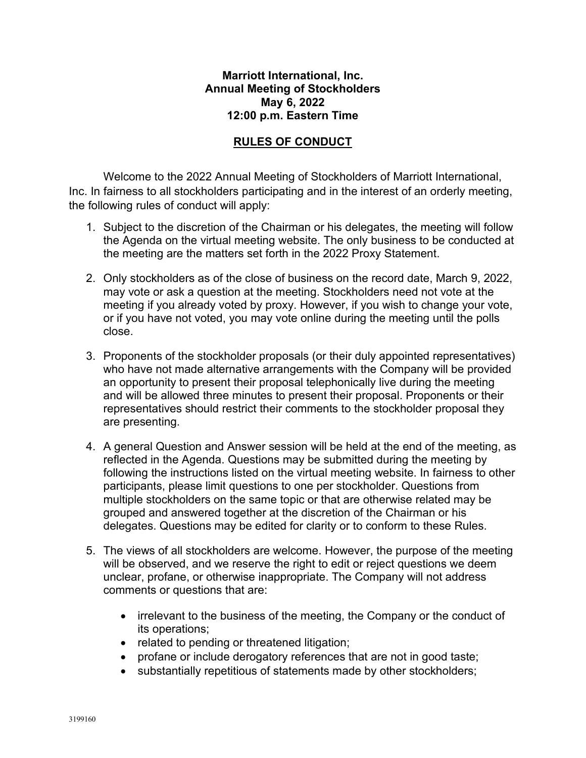## **Marriott International, Inc. Annual Meeting of Stockholders May 6, 2022 12:00 p.m. Eastern Time**

# **RULES OF CONDUCT**

Welcome to the 2022 Annual Meeting of Stockholders of Marriott International, Inc. In fairness to all stockholders participating and in the interest of an orderly meeting, the following rules of conduct will apply:

- 1. Subject to the discretion of the Chairman or his delegates, the meeting will follow the Agenda on the virtual meeting website. The only business to be conducted at the meeting are the matters set forth in the 2022 Proxy Statement.
- 2. Only stockholders as of the close of business on the record date, March 9, 2022, may vote or ask a question at the meeting. Stockholders need not vote at the meeting if you already voted by proxy. However, if you wish to change your vote, or if you have not voted, you may vote online during the meeting until the polls close.
- 3. Proponents of the stockholder proposals (or their duly appointed representatives) who have not made alternative arrangements with the Company will be provided an opportunity to present their proposal telephonically live during the meeting and will be allowed three minutes to present their proposal. Proponents or their representatives should restrict their comments to the stockholder proposal they are presenting.
- 4. A general Question and Answer session will be held at the end of the meeting, as reflected in the Agenda. Questions may be submitted during the meeting by following the instructions listed on the virtual meeting website. In fairness to other participants, please limit questions to one per stockholder. Questions from multiple stockholders on the same topic or that are otherwise related may be grouped and answered together at the discretion of the Chairman or his delegates. Questions may be edited for clarity or to conform to these Rules.
- 5. The views of all stockholders are welcome. However, the purpose of the meeting will be observed, and we reserve the right to edit or reject questions we deem unclear, profane, or otherwise inappropriate. The Company will not address comments or questions that are:
	- irrelevant to the business of the meeting, the Company or the conduct of its operations;
	- related to pending or threatened litigation;
	- profane or include derogatory references that are not in good taste;
	- substantially repetitious of statements made by other stockholders;